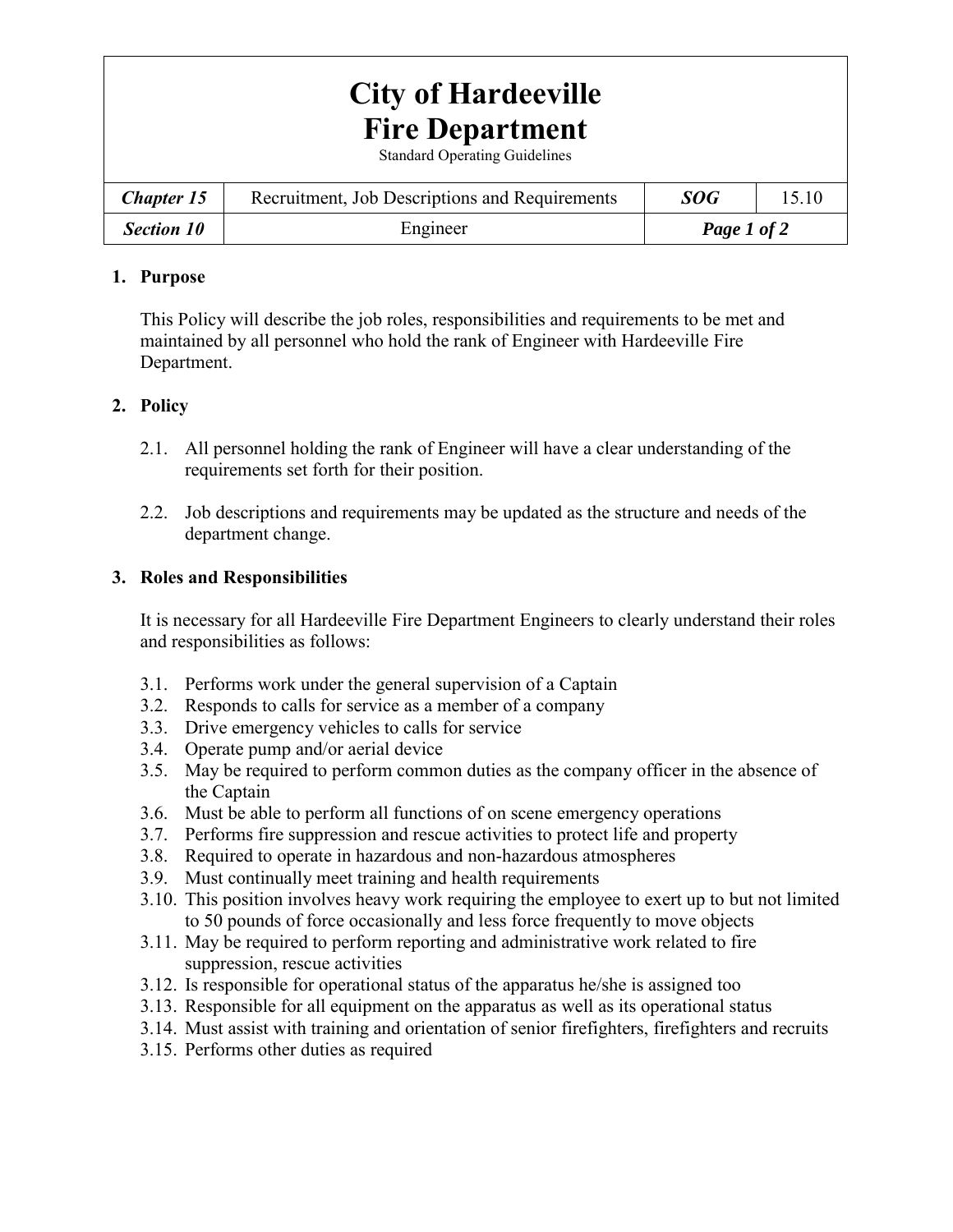# **City of Hardeeville Fire Department**

Standard Operating Guidelines

| <b>Chapter 15</b> | Recruitment, Job Descriptions and Requirements | SOG         |  |
|-------------------|------------------------------------------------|-------------|--|
| <b>Section 10</b> | Engineer                                       | Page 1 of 2 |  |

#### **1. Purpose**

This Policy will describe the job roles, responsibilities and requirements to be met and maintained by all personnel who hold the rank of Engineer with Hardeeville Fire Department.

## **2. Policy**

- 2.1. All personnel holding the rank of Engineer will have a clear understanding of the requirements set forth for their position.
- 2.2. Job descriptions and requirements may be updated as the structure and needs of the department change.

## **3. Roles and Responsibilities**

It is necessary for all Hardeeville Fire Department Engineers to clearly understand their roles and responsibilities as follows:

- 3.1. Performs work under the general supervision of a Captain
- 3.2. Responds to calls for service as a member of a company
- 3.3. Drive emergency vehicles to calls for service
- 3.4. Operate pump and/or aerial device
- 3.5. May be required to perform common duties as the company officer in the absence of the Captain
- 3.6. Must be able to perform all functions of on scene emergency operations
- 3.7. Performs fire suppression and rescue activities to protect life and property
- 3.8. Required to operate in hazardous and non-hazardous atmospheres
- 3.9. Must continually meet training and health requirements
- 3.10. This position involves heavy work requiring the employee to exert up to but not limited to 50 pounds of force occasionally and less force frequently to move objects
- 3.11. May be required to perform reporting and administrative work related to fire suppression, rescue activities
- 3.12. Is responsible for operational status of the apparatus he/she is assigned too
- 3.13. Responsible for all equipment on the apparatus as well as its operational status
- 3.14. Must assist with training and orientation of senior firefighters, firefighters and recruits
- 3.15. Performs other duties as required